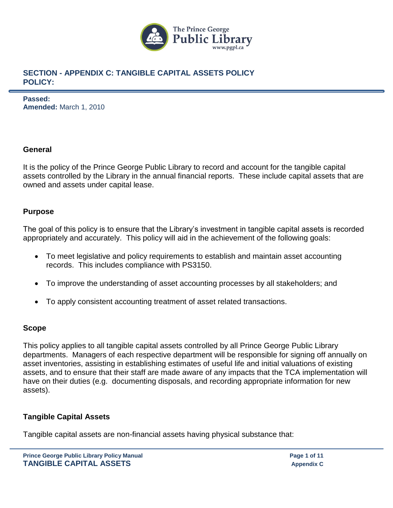

**Passed: Amended:** March 1, 2010

## **General**

It is the policy of the Prince George Public Library to record and account for the tangible capital assets controlled by the Library in the annual financial reports. These include capital assets that are owned and assets under capital lease.

# **Purpose**

The goal of this policy is to ensure that the Library's investment in tangible capital assets is recorded appropriately and accurately. This policy will aid in the achievement of the following goals:

- To meet legislative and policy requirements to establish and maintain asset accounting records. This includes compliance with PS3150.
- To improve the understanding of asset accounting processes by all stakeholders; and
- To apply consistent accounting treatment of asset related transactions.

# **Scope**

This policy applies to all tangible capital assets controlled by all Prince George Public Library departments. Managers of each respective department will be responsible for signing off annually on asset inventories, assisting in establishing estimates of useful life and initial valuations of existing assets, and to ensure that their staff are made aware of any impacts that the TCA implementation will have on their duties (e.g. documenting disposals, and recording appropriate information for new assets).

# **Tangible Capital Assets**

Tangible capital assets are non-financial assets having physical substance that: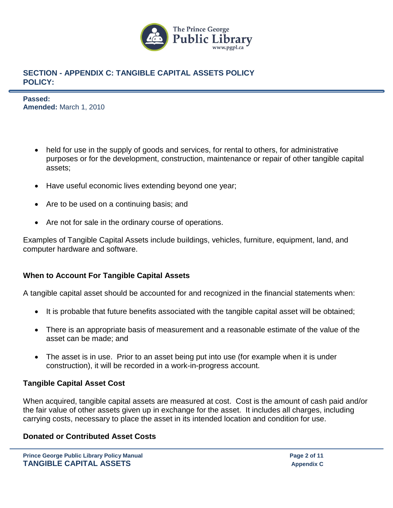

**Passed: Amended:** March 1, 2010

- held for use in the supply of goods and services, for rental to others, for administrative purposes or for the development, construction, maintenance or repair of other tangible capital assets;
- Have useful economic lives extending beyond one year;
- Are to be used on a continuing basis; and
- Are not for sale in the ordinary course of operations.

Examples of Tangible Capital Assets include buildings, vehicles, furniture, equipment, land, and computer hardware and software.

# **When to Account For Tangible Capital Assets**

A tangible capital asset should be accounted for and recognized in the financial statements when:

- It is probable that future benefits associated with the tangible capital asset will be obtained;
- There is an appropriate basis of measurement and a reasonable estimate of the value of the asset can be made; and
- The asset is in use. Prior to an asset being put into use (for example when it is under construction), it will be recorded in a work-in-progress account.

### **Tangible Capital Asset Cost**

When acquired, tangible capital assets are measured at cost. Cost is the amount of cash paid and/or the fair value of other assets given up in exchange for the asset. It includes all charges, including carrying costs, necessary to place the asset in its intended location and condition for use.

### **Donated or Contributed Asset Costs**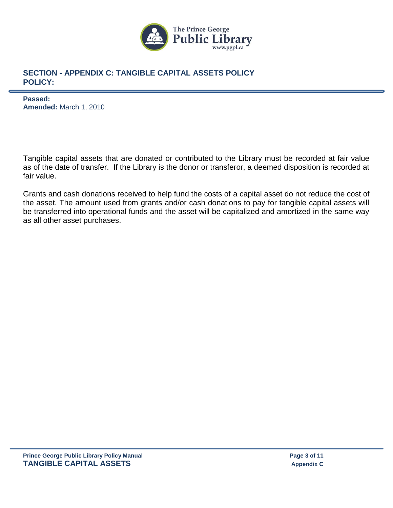

**Passed: Amended:** March 1, 2010

Tangible capital assets that are donated or contributed to the Library must be recorded at fair value as of the date of transfer. If the Library is the donor or transferor, a deemed disposition is recorded at fair value.

Grants and cash donations received to help fund the costs of a capital asset do not reduce the cost of the asset. The amount used from grants and/or cash donations to pay for tangible capital assets will be transferred into operational funds and the asset will be capitalized and amortized in the same way as all other asset purchases.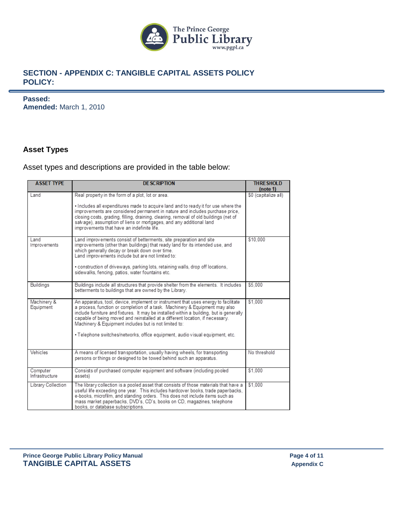

**Passed: Amended:** March 1, 2010

## **Asset Types**

#### Asset types and descriptions are provided in the table below:

| <b>ASSET TYPE</b>          | <b>DE SCRIPTION</b>                                                                                                                                                                                                                                                                                                                                                                                                                                                                     | <b>THRESHOLD</b><br>(note 1) |
|----------------------------|-----------------------------------------------------------------------------------------------------------------------------------------------------------------------------------------------------------------------------------------------------------------------------------------------------------------------------------------------------------------------------------------------------------------------------------------------------------------------------------------|------------------------------|
| Land                       | Real property in the form of a plot, lot or area.                                                                                                                                                                                                                                                                                                                                                                                                                                       | \$0 (capitalize all)         |
|                            | . Includes all expenditures made to acquire land and to ready it for use where the<br>improvements are considered permanent in nature and includes purchase price.<br>closing costs, grading, filling, draining, clearing, removal of old buildings (net of<br>salvage), assumption of liens or mortgages, and any additional land<br>improvements that have an indefinite life.                                                                                                        |                              |
| Land<br>Improvements       | Land improvements consist of betterments, site preparation and site<br>improvements (other than buildings) that ready land for its intended use, and<br>which generally decay or break down over time.<br>Land improvements include but are not limited to:<br>· construction of driveways, parking lots, retaining walls, drop off locations,<br>sidewalks, fencing, patios, water fountains etc.                                                                                      | \$10,000                     |
| <b>Buildings</b>           | Buildings include all structures that provide shelter from the elements. It includes<br>betterments to buildings that are owned by the Library.                                                                                                                                                                                                                                                                                                                                         | \$5.000                      |
| Machinery &<br>Equipment   | An apparatus, tool, device, implement or instrument that uses energy to facilitate<br>a process, function or completion of a task. Machinery & Equipment may also<br>include furniture and fixtures. It may be installed within a building, but is generally<br>capable of being moved and reinstalled at a different location, if necessary.<br>Machinery & Equipment includes but is not limited to:<br>. Telephone switches/networks, office equipment, audio visual equipment, etc. | \$1.000                      |
| Vehicles                   | A means of licensed transportation, usually having wheels, for transporting<br>persons or things or designed to be towed behind such an apparatus.                                                                                                                                                                                                                                                                                                                                      | No threshold                 |
| Computer<br>Infrastructure | Consists of purchased computer equipment and software (including pooled<br>assets)                                                                                                                                                                                                                                                                                                                                                                                                      | \$1.000                      |
| Library Collection         | The library collection is a pooled asset that consists of those materials that have a<br>useful life exceeding one year. This includes hardcover books, trade paperbacks,<br>e-books, microfilm, and standing orders. This does not include items such as<br>mass market paperbacks, DVD's, CD's, books on CD, magazines, telephone<br>books, or database subscriptions.                                                                                                                | \$1.000                      |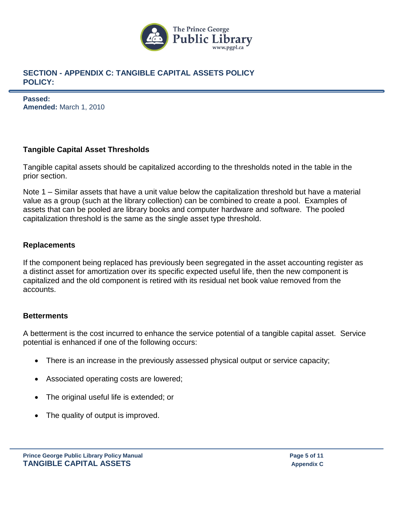

**Passed: Amended:** March 1, 2010

# **Tangible Capital Asset Thresholds**

Tangible capital assets should be capitalized according to the thresholds noted in the table in the prior section.

Note 1 – Similar assets that have a unit value below the capitalization threshold but have a material value as a group (such at the library collection) can be combined to create a pool. Examples of assets that can be pooled are library books and computer hardware and software. The pooled capitalization threshold is the same as the single asset type threshold.

# **Replacements**

If the component being replaced has previously been segregated in the asset accounting register as a distinct asset for amortization over its specific expected useful life, then the new component is capitalized and the old component is retired with its residual net book value removed from the accounts.

# **Betterments**

A betterment is the cost incurred to enhance the service potential of a tangible capital asset. Service potential is enhanced if one of the following occurs:

- There is an increase in the previously assessed physical output or service capacity;
- Associated operating costs are lowered;
- The original useful life is extended; or
- The quality of output is improved.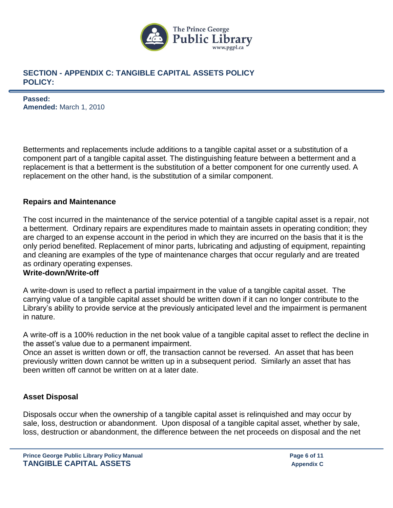

**Passed: Amended:** March 1, 2010

Betterments and replacements include additions to a tangible capital asset or a substitution of a component part of a tangible capital asset. The distinguishing feature between a betterment and a replacement is that a betterment is the substitution of a better component for one currently used. A replacement on the other hand, is the substitution of a similar component.

### **Repairs and Maintenance**

The cost incurred in the maintenance of the service potential of a tangible capital asset is a repair, not a betterment. Ordinary repairs are expenditures made to maintain assets in operating condition; they are charged to an expense account in the period in which they are incurred on the basis that it is the only period benefited. Replacement of minor parts, lubricating and adjusting of equipment, repainting and cleaning are examples of the type of maintenance charges that occur regularly and are treated as ordinary operating expenses.

### **Write-down/Write-off**

A write-down is used to reflect a partial impairment in the value of a tangible capital asset. The carrying value of a tangible capital asset should be written down if it can no longer contribute to the Library's ability to provide service at the previously anticipated level and the impairment is permanent in nature.

A write-off is a 100% reduction in the net book value of a tangible capital asset to reflect the decline in the asset's value due to a permanent impairment.

Once an asset is written down or off, the transaction cannot be reversed. An asset that has been previously written down cannot be written up in a subsequent period. Similarly an asset that has been written off cannot be written on at a later date.

### **Asset Disposal**

Disposals occur when the ownership of a tangible capital asset is relinquished and may occur by sale, loss, destruction or abandonment. Upon disposal of a tangible capital asset, whether by sale, loss, destruction or abandonment, the difference between the net proceeds on disposal and the net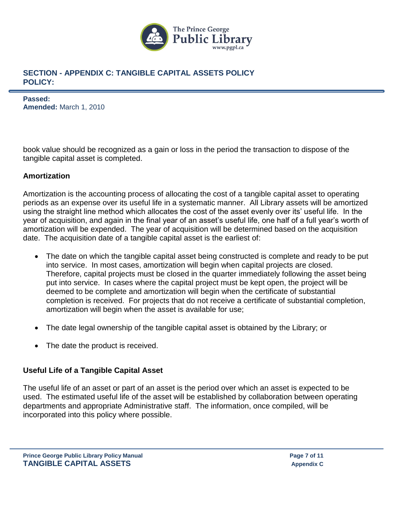

**Passed: Amended:** March 1, 2010

book value should be recognized as a gain or loss in the period the transaction to dispose of the tangible capital asset is completed.

# **Amortization**

Amortization is the accounting process of allocating the cost of a tangible capital asset to operating periods as an expense over its useful life in a systematic manner. All Library assets will be amortized using the straight line method which allocates the cost of the asset evenly over its' useful life. In the year of acquisition, and again in the final year of an asset's useful life, one half of a full year's worth of amortization will be expended. The year of acquisition will be determined based on the acquisition date. The acquisition date of a tangible capital asset is the earliest of:

- The date on which the tangible capital asset being constructed is complete and ready to be put into service. In most cases, amortization will begin when capital projects are closed. Therefore, capital projects must be closed in the quarter immediately following the asset being put into service. In cases where the capital project must be kept open, the project will be deemed to be complete and amortization will begin when the certificate of substantial completion is received. For projects that do not receive a certificate of substantial completion, amortization will begin when the asset is available for use;
- The date legal ownership of the tangible capital asset is obtained by the Library; or
- The date the product is received.

# **Useful Life of a Tangible Capital Asset**

The useful life of an asset or part of an asset is the period over which an asset is expected to be used. The estimated useful life of the asset will be established by collaboration between operating departments and appropriate Administrative staff. The information, once compiled, will be incorporated into this policy where possible.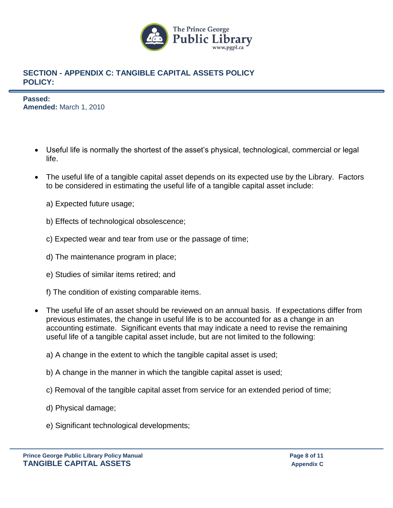

**Passed: Amended:** March 1, 2010

- Useful life is normally the shortest of the asset's physical, technological, commercial or legal life.
- The useful life of a tangible capital asset depends on its expected use by the Library. Factors to be considered in estimating the useful life of a tangible capital asset include:
	- a) Expected future usage;
	- b) Effects of technological obsolescence;
	- c) Expected wear and tear from use or the passage of time;
	- d) The maintenance program in place;
	- e) Studies of similar items retired; and
	- f) The condition of existing comparable items.
- The useful life of an asset should be reviewed on an annual basis. If expectations differ from previous estimates, the change in useful life is to be accounted for as a change in an accounting estimate. Significant events that may indicate a need to revise the remaining useful life of a tangible capital asset include, but are not limited to the following:
	- a) A change in the extent to which the tangible capital asset is used;
	- b) A change in the manner in which the tangible capital asset is used;
	- c) Removal of the tangible capital asset from service for an extended period of time;
	- d) Physical damage;
	- e) Significant technological developments;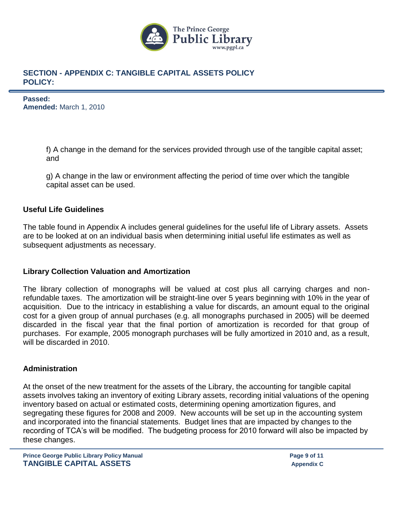

**Passed: Amended:** March 1, 2010

> f) A change in the demand for the services provided through use of the tangible capital asset; and

g) A change in the law or environment affecting the period of time over which the tangible capital asset can be used.

## **Useful Life Guidelines**

The table found in Appendix A includes general guidelines for the useful life of Library assets. Assets are to be looked at on an individual basis when determining initial useful life estimates as well as subsequent adjustments as necessary.

### **Library Collection Valuation and Amortization**

The library collection of monographs will be valued at cost plus all carrying charges and nonrefundable taxes. The amortization will be straight-line over 5 years beginning with 10% in the year of acquisition. Due to the intricacy in establishing a value for discards, an amount equal to the original cost for a given group of annual purchases (e.g. all monographs purchased in 2005) will be deemed discarded in the fiscal year that the final portion of amortization is recorded for that group of purchases. For example, 2005 monograph purchases will be fully amortized in 2010 and, as a result, will be discarded in 2010.

### **Administration**

At the onset of the new treatment for the assets of the Library, the accounting for tangible capital assets involves taking an inventory of exiting Library assets, recording initial valuations of the opening inventory based on actual or estimated costs, determining opening amortization figures, and segregating these figures for 2008 and 2009. New accounts will be set up in the accounting system and incorporated into the financial statements. Budget lines that are impacted by changes to the recording of TCA's will be modified. The budgeting process for 2010 forward will also be impacted by these changes.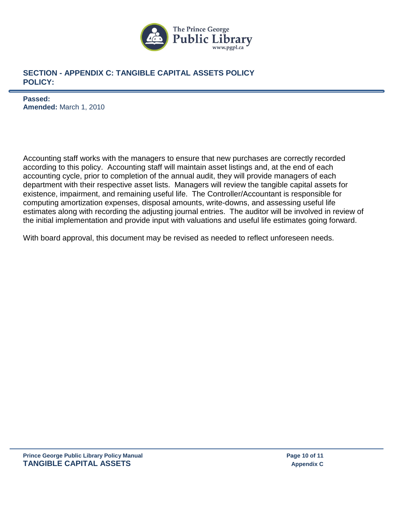

**Passed: Amended:** March 1, 2010

Accounting staff works with the managers to ensure that new purchases are correctly recorded according to this policy. Accounting staff will maintain asset listings and, at the end of each accounting cycle, prior to completion of the annual audit, they will provide managers of each department with their respective asset lists. Managers will review the tangible capital assets for existence, impairment, and remaining useful life. The Controller/Accountant is responsible for computing amortization expenses, disposal amounts, write-downs, and assessing useful life estimates along with recording the adjusting journal entries. The auditor will be involved in review of the initial implementation and provide input with valuations and useful life estimates going forward.

With board approval, this document may be revised as needed to reflect unforeseen needs.